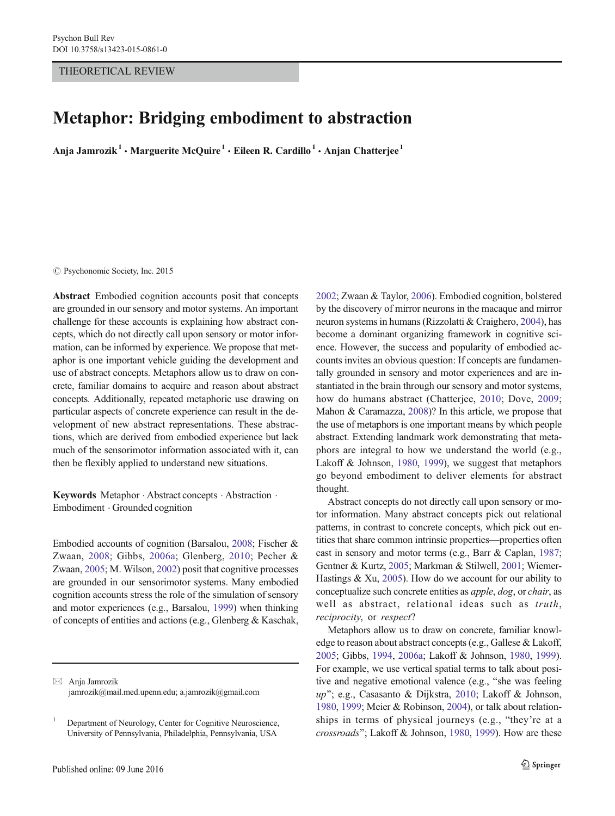## THEORETICAL REVIEW

# Metaphor: Bridging embodiment to abstraction

Anja Jamrozik<sup>1</sup> • Marguerite McQuire<sup>1</sup> • Eileen R. Cardillo<sup>1</sup> • Anjan Chatterjee<sup>1</sup>

 $\circ$  Psychonomic Society, Inc. 2015

Abstract Embodied cognition accounts posit that concepts are grounded in our sensory and motor systems. An important challenge for these accounts is explaining how abstract concepts, which do not directly call upon sensory or motor information, can be informed by experience. We propose that metaphor is one important vehicle guiding the development and use of abstract concepts. Metaphors allow us to draw on concrete, familiar domains to acquire and reason about abstract concepts. Additionally, repeated metaphoric use drawing on particular aspects of concrete experience can result in the development of new abstract representations. These abstractions, which are derived from embodied experience but lack much of the sensorimotor information associated with it, can then be flexibly applied to understand new situations.

Keywords Metaphor . Abstract concepts . Abstraction . Embodiment . Grounded cognition

Embodied accounts of cognition (Barsalou, [2008](#page-7-0); Fischer & Zwaan, [2008](#page-7-0); Gibbs, [2006a;](#page-8-0) Glenberg, [2010;](#page-8-0) Pecher & Zwaan, [2005;](#page-8-0) M. Wilson, [2002](#page-9-0)) posit that cognitive processes are grounded in our sensorimotor systems. Many embodied cognition accounts stress the role of the simulation of sensory and motor experiences (e.g., Barsalou, [1999\)](#page-7-0) when thinking of concepts of entities and actions (e.g., Glenberg & Kaschak,

[2002;](#page-8-0) Zwaan & Taylor, [2006\)](#page-9-0). Embodied cognition, bolstered by the discovery of mirror neurons in the macaque and mirror neuron systems in humans (Rizzolatti & Craighero, [2004\)](#page-9-0), has become a dominant organizing framework in cognitive science. However, the success and popularity of embodied accounts invites an obvious question: If concepts are fundamentally grounded in sensory and motor experiences and are instantiated in the brain through our sensory and motor systems, how do humans abstract (Chatterjee, [2010;](#page-7-0) Dove, [2009;](#page-7-0) Mahon & Caramazza, [2008\)](#page-8-0)? In this article, we propose that the use of metaphors is one important means by which people abstract. Extending landmark work demonstrating that metaphors are integral to how we understand the world (e.g., Lakoff & Johnson, [1980](#page-8-0), [1999\)](#page-8-0), we suggest that metaphors go beyond embodiment to deliver elements for abstract thought.

Abstract concepts do not directly call upon sensory or motor information. Many abstract concepts pick out relational patterns, in contrast to concrete concepts, which pick out entities that share common intrinsic properties—properties often cast in sensory and motor terms (e.g., Barr & Caplan, [1987;](#page-7-0) Gentner & Kurtz, [2005;](#page-7-0) Markman & Stilwell, [2001](#page-8-0); Wiemer-Hastings & Xu, [2005\)](#page-9-0). How do we account for our ability to conceptualize such concrete entities as apple, dog, or chair, as well as abstract, relational ideas such as truth, reciprocity, or respect?

Metaphors allow us to draw on concrete, familiar knowledge to reason about abstract concepts (e.g., Gallese & Lakoff, [2005;](#page-7-0) Gibbs, [1994](#page-8-0), [2006a;](#page-8-0) Lakoff & Johnson, [1980](#page-8-0), [1999\)](#page-8-0). For example, we use vertical spatial terms to talk about positive and negative emotional valence (e.g., "she was feeling up"; e.g., Casasanto & Dijkstra, [2010;](#page-7-0) Lakoff & Johnson, [1980,](#page-8-0) [1999](#page-8-0); Meier & Robinson, [2004](#page-8-0)), or talk about relationships in terms of physical journeys (e.g., "they're at a crossroads"; Lakoff & Johnson, [1980,](#page-8-0) [1999\)](#page-8-0). How are these

 $\boxtimes$  Anja Jamrozik jamrozik@mail.med.upenn.edu; a.jamrozik@gmail.com

<sup>&</sup>lt;sup>1</sup> Department of Neurology, Center for Cognitive Neuroscience, University of Pennsylvania, Philadelphia, Pennsylvania, USA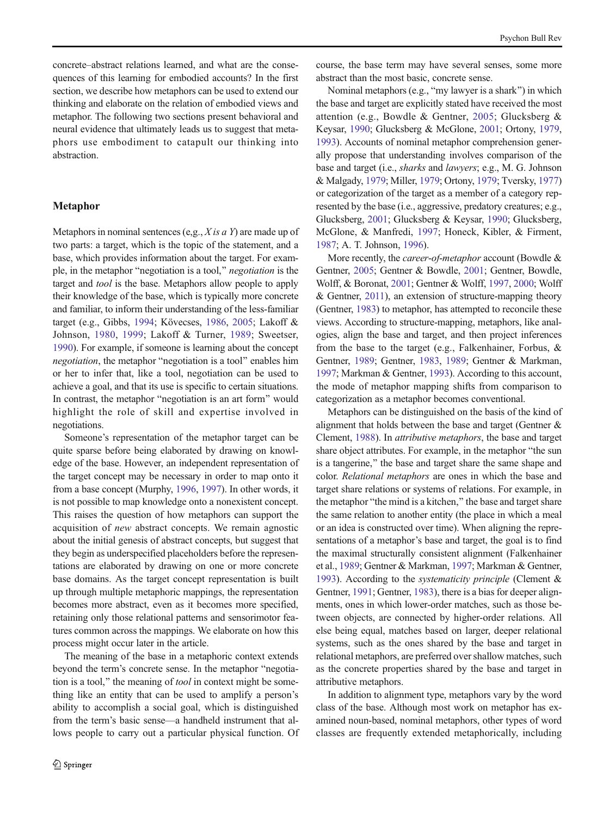concrete–abstract relations learned, and what are the consequences of this learning for embodied accounts? In the first section, we describe how metaphors can be used to extend our thinking and elaborate on the relation of embodied views and metaphor. The following two sections present behavioral and neural evidence that ultimately leads us to suggest that metaphors use embodiment to catapult our thinking into abstraction.

### Metaphor

Metaphors in nominal sentences (e,g,, X is a Y) are made up of two parts: a target, which is the topic of the statement, and a base, which provides information about the target. For example, in the metaphor "negotiation is a tool," *negotiation* is the target and tool is the base. Metaphors allow people to apply their knowledge of the base, which is typically more concrete and familiar, to inform their understanding of the less-familiar target (e.g., Gibbs, [1994](#page-8-0); Kövecses, [1986](#page-8-0), [2005;](#page-8-0) Lakoff & Johnson, [1980,](#page-8-0) [1999](#page-8-0); Lakoff & Turner, [1989](#page-8-0); Sweetser, [1990\)](#page-9-0). For example, if someone is learning about the concept negotiation, the metaphor "negotiation is a tool" enables him or her to infer that, like a tool, negotiation can be used to achieve a goal, and that its use is specific to certain situations. In contrast, the metaphor "negotiation is an art form" would highlight the role of skill and expertise involved in negotiations.

Someone's representation of the metaphor target can be quite sparse before being elaborated by drawing on knowledge of the base. However, an independent representation of the target concept may be necessary in order to map onto it from a base concept (Murphy, [1996,](#page-8-0) [1997](#page-8-0)). In other words, it is not possible to map knowledge onto a nonexistent concept. This raises the question of how metaphors can support the acquisition of new abstract concepts. We remain agnostic about the initial genesis of abstract concepts, but suggest that they begin as underspecified placeholders before the representations are elaborated by drawing on one or more concrete base domains. As the target concept representation is built up through multiple metaphoric mappings, the representation becomes more abstract, even as it becomes more specified, retaining only those relational patterns and sensorimotor features common across the mappings. We elaborate on how this process might occur later in the article.

The meaning of the base in a metaphoric context extends beyond the term's concrete sense. In the metaphor "negotiation is a tool," the meaning of *tool* in context might be something like an entity that can be used to amplify a person's ability to accomplish a social goal, which is distinguished from the term's basic sense—a handheld instrument that allows people to carry out a particular physical function. Of course, the base term may have several senses, some more abstract than the most basic, concrete sense.

Nominal metaphors (e.g., "my lawyer is a shark") in which the base and target are explicitly stated have received the most attention (e.g., Bowdle & Gentner, [2005;](#page-7-0) Glucksberg & Keysar, [1990](#page-8-0); Glucksberg & McGlone, [2001](#page-8-0); Ortony, [1979,](#page-8-0) [1993\)](#page-8-0). Accounts of nominal metaphor comprehension generally propose that understanding involves comparison of the base and target (i.e., sharks and lawyers; e.g., M. G. Johnson & Malgady, [1979;](#page-8-0) Miller, [1979;](#page-8-0) Ortony, [1979](#page-8-0); Tversky, [1977](#page-9-0)) or categorization of the target as a member of a category represented by the base (i.e., aggressive, predatory creatures; e.g., Glucksberg, [2001;](#page-8-0) Glucksberg & Keysar, [1990;](#page-8-0) Glucksberg, McGlone, & Manfredi, [1997](#page-8-0); Honeck, Kibler, & Firment, [1987;](#page-8-0) A. T. Johnson, [1996](#page-8-0)).

More recently, the *career-of-metaphor* account (Bowdle & Gentner, [2005](#page-7-0); Gentner & Bowdle, [2001;](#page-7-0) Gentner, Bowdle, Wolff, & Boronat, [2001](#page-8-0); Gentner & Wolff, [1997,](#page-7-0) [2000](#page-7-0); Wolff & Gentner, [2011\)](#page-9-0), an extension of structure-mapping theory (Gentner, [1983](#page-7-0)) to metaphor, has attempted to reconcile these views. According to structure-mapping, metaphors, like analogies, align the base and target, and then project inferences from the base to the target (e.g., Falkenhainer, Forbus, & Gentner, [1989;](#page-7-0) Gentner, [1983,](#page-7-0) [1989](#page-7-0); Gentner & Markman, [1997;](#page-7-0) Markman & Gentner, [1993](#page-8-0)). According to this account, the mode of metaphor mapping shifts from comparison to categorization as a metaphor becomes conventional.

Metaphors can be distinguished on the basis of the kind of alignment that holds between the base and target (Gentner & Clement, [1988\)](#page-7-0). In attributive metaphors, the base and target share object attributes. For example, in the metaphor "the sun is a tangerine," the base and target share the same shape and color. Relational metaphors are ones in which the base and target share relations or systems of relations. For example, in the metaphor "the mind is a kitchen," the base and target share the same relation to another entity (the place in which a meal or an idea is constructed over time). When aligning the representations of a metaphor's base and target, the goal is to find the maximal structurally consistent alignment (Falkenhainer et al., [1989](#page-7-0); Gentner & Markman, [1997](#page-7-0); Markman & Gentner, [1993\)](#page-8-0). According to the systematicity principle (Clement & Gentner, [1991;](#page-7-0) Gentner, [1983](#page-7-0)), there is a bias for deeper alignments, ones in which lower-order matches, such as those between objects, are connected by higher-order relations. All else being equal, matches based on larger, deeper relational systems, such as the ones shared by the base and target in relational metaphors, are preferred over shallow matches, such as the concrete properties shared by the base and target in attributive metaphors.

In addition to alignment type, metaphors vary by the word class of the base. Although most work on metaphor has examined noun-based, nominal metaphors, other types of word classes are frequently extended metaphorically, including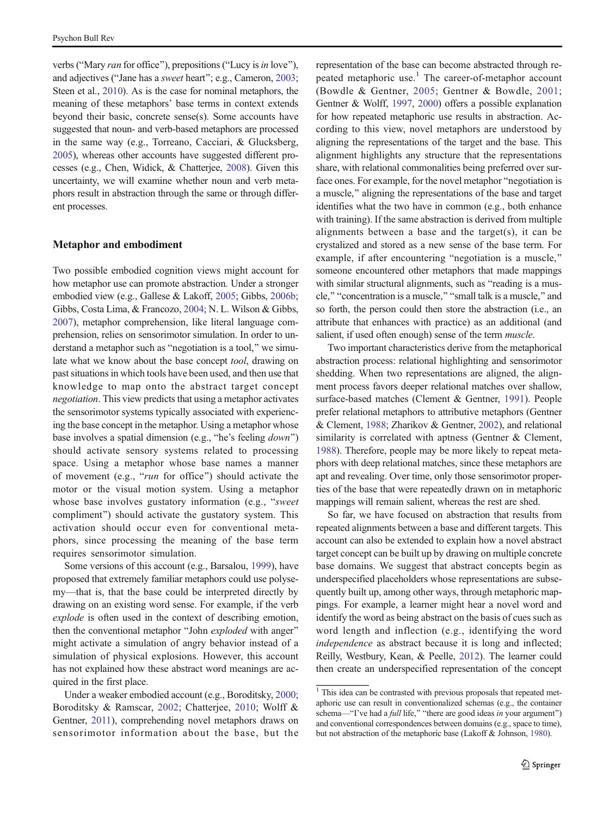verbs ("Mary ran for office"), prepositions ("Lucy is in love"), and adjectives ("Jane has a sweet heart"; e.g., Cameron, [2003](#page-7-0); Steen et al., [2010\)](#page-9-0). As is the case for nominal metaphors, the meaning of these metaphors' base terms in context extends beyond their basic, concrete sense(s). Some accounts have suggested that noun- and verb-based metaphors are processed in the same way (e.g., Torreano, Cacciari, & Glucksberg, [2005](#page-9-0)), whereas other accounts have suggested different processes (e.g., Chen, Widick, & Chatterjee, [2008\)](#page-7-0). Given this uncertainty, we will examine whether noun and verb metaphors result in abstraction through the same or through different processes.

### Metaphor and embodiment

Two possible embodied cognition views might account for how metaphor use can promote abstraction. Under a stronger embodied view (e.g., Gallese & Lakoff, [2005](#page-7-0); Gibbs, [2006b](#page-8-0); Gibbs, Costa Lima, & Francozo, [2004](#page-8-0); N. L. Wilson & Gibbs, [2007\)](#page-9-0), metaphor comprehension, like literal language comprehension, relies on sensorimotor simulation. In order to understand a metaphor such as "negotiation is a tool," we simulate what we know about the base concept tool, drawing on past situations in which tools have been used, and then use that knowledge to map onto the abstract target concept negotiation. This view predicts that using a metaphor activates the sensorimotor systems typically associated with experiencing the base concept in the metaphor. Using a metaphor whose base involves a spatial dimension (e.g., "he's feeling *down*") should activate sensory systems related to processing space. Using a metaphor whose base names a manner of movement (e.g., "*run* for office") should activate the motor or the visual motion system. Using a metaphor whose base involves gustatory information (e.g., "sweet" compliment") should activate the gustatory system. This activation should occur even for conventional metaphors, since processing the meaning of the base term requires sensorimotor simulation.

Some versions of this account (e.g., Barsalou, [1999\)](#page-7-0), have proposed that extremely familiar metaphors could use polysemy—that is, that the base could be interpreted directly by drawing on an existing word sense. For example, if the verb explode is often used in the context of describing emotion, then the conventional metaphor "John exploded with anger" might activate a simulation of angry behavior instead of a simulation of physical explosions. However, this account has not explained how these abstract word meanings are acquired in the first place.

Under a weaker embodied account (e.g., Boroditsky, [2000](#page-7-0); Boroditsky & Ramscar, [2002](#page-7-0); Chatterjee, [2010;](#page-7-0) Wolff & Gentner, [2011\)](#page-9-0), comprehending novel metaphors draws on sensorimotor information about the base, but the representation of the base can become abstracted through repeated metaphoric use. $\frac{1}{1}$  The career-of-metaphor account (Bowdle & Gentner, [2005;](#page-7-0) Gentner & Bowdle, [2001;](#page-7-0) Gentner & Wolff, [1997](#page-7-0), [2000](#page-7-0)) offers a possible explanation for how repeated metaphoric use results in abstraction. According to this view, novel metaphors are understood by aligning the representations of the target and the base. This alignment highlights any structure that the representations share, with relational commonalities being preferred over surface ones. For example, for the novel metaphor "negotiation is a muscle," aligning the representations of the base and target identifies what the two have in common (e.g., both enhance with training). If the same abstraction is derived from multiple alignments between a base and the target(s), it can be crystalized and stored as a new sense of the base term. For example, if after encountering "negotiation is a muscle," someone encountered other metaphors that made mappings with similar structural alignments, such as "reading is a muscle," "concentration is a muscle," "small talk is a muscle," and so forth, the person could then store the abstraction (i.e., an attribute that enhances with practice) as an additional (and salient, if used often enough) sense of the term *muscle*.

Two important characteristics derive from the metaphorical abstraction process: relational highlighting and sensorimotor shedding. When two representations are aligned, the alignment process favors deeper relational matches over shallow, surface-based matches (Clement & Gentner, [1991](#page-7-0)). People prefer relational metaphors to attributive metaphors (Gentner & Clement, [1988;](#page-7-0) Zharikov & Gentner, [2002](#page-9-0)), and relational similarity is correlated with aptness (Gentner & Clement, [1988\)](#page-7-0). Therefore, people may be more likely to repeat metaphors with deep relational matches, since these metaphors are apt and revealing. Over time, only those sensorimotor properties of the base that were repeatedly drawn on in metaphoric mappings will remain salient, whereas the rest are shed.

So far, we have focused on abstraction that results from repeated alignments between a base and different targets. This account can also be extended to explain how a novel abstract target concept can be built up by drawing on multiple concrete base domains. We suggest that abstract concepts begin as underspecified placeholders whose representations are subsequently built up, among other ways, through metaphoric mappings. For example, a learner might hear a novel word and identify the word as being abstract on the basis of cues such as word length and inflection (e.g., identifying the word independence as abstract because it is long and inflected; Reilly, Westbury, Kean, & Peelle, [2012](#page-8-0)). The learner could then create an underspecified representation of the concept

<sup>&</sup>lt;sup>1</sup> This idea can be contrasted with previous proposals that repeated metaphoric use can result in conventionalized schemas (e.g., the container schema—"I've had a *full* life," "there are good ideas in your argument") and conventional correspondences between domains (e.g., space to time), but not abstraction of the metaphoric base (Lakoff & Johnson, [1980](#page-8-0)).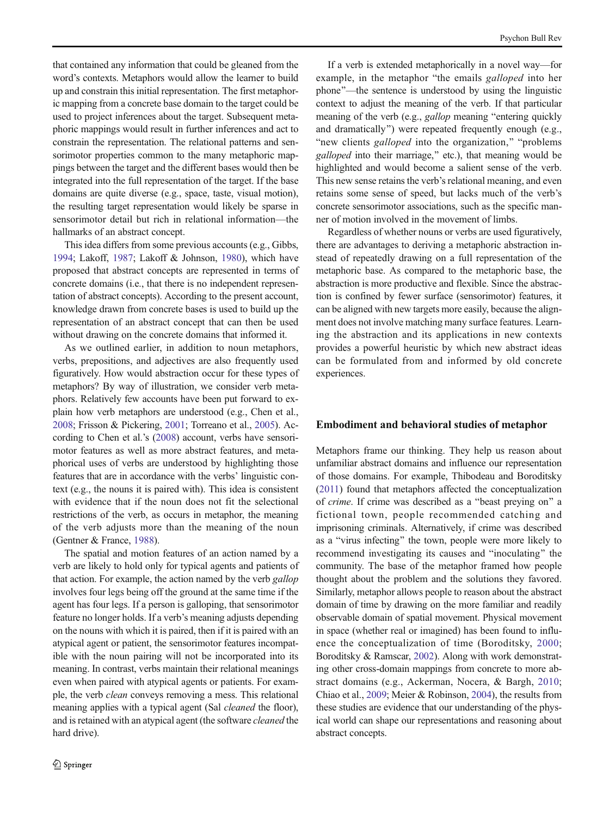that contained any information that could be gleaned from the word's contexts. Metaphors would allow the learner to build up and constrain this initial representation. The first metaphoric mapping from a concrete base domain to the target could be used to project inferences about the target. Subsequent metaphoric mappings would result in further inferences and act to constrain the representation. The relational patterns and sensorimotor properties common to the many metaphoric mappings between the target and the different bases would then be integrated into the full representation of the target. If the base domains are quite diverse (e.g., space, taste, visual motion), the resulting target representation would likely be sparse in sensorimotor detail but rich in relational information—the hallmarks of an abstract concept.

This idea differs from some previous accounts (e.g., Gibbs, [1994;](#page-8-0) Lakoff, [1987;](#page-8-0) Lakoff & Johnson, [1980\)](#page-8-0), which have proposed that abstract concepts are represented in terms of concrete domains (i.e., that there is no independent representation of abstract concepts). According to the present account, knowledge drawn from concrete bases is used to build up the representation of an abstract concept that can then be used without drawing on the concrete domains that informed it.

As we outlined earlier, in addition to noun metaphors, verbs, prepositions, and adjectives are also frequently used figuratively. How would abstraction occur for these types of metaphors? By way of illustration, we consider verb metaphors. Relatively few accounts have been put forward to explain how verb metaphors are understood (e.g., Chen et al., [2008;](#page-7-0) Frisson & Pickering, [2001](#page-7-0); Torreano et al., [2005](#page-9-0)). According to Chen et al.'s [\(2008](#page-7-0)) account, verbs have sensorimotor features as well as more abstract features, and metaphorical uses of verbs are understood by highlighting those features that are in accordance with the verbs' linguistic context (e.g., the nouns it is paired with). This idea is consistent with evidence that if the noun does not fit the selectional restrictions of the verb, as occurs in metaphor, the meaning of the verb adjusts more than the meaning of the noun (Gentner & France, [1988](#page-7-0)).

The spatial and motion features of an action named by a verb are likely to hold only for typical agents and patients of that action. For example, the action named by the verb gallop involves four legs being off the ground at the same time if the agent has four legs. If a person is galloping, that sensorimotor feature no longer holds. If a verb's meaning adjusts depending on the nouns with which it is paired, then if it is paired with an atypical agent or patient, the sensorimotor features incompatible with the noun pairing will not be incorporated into its meaning. In contrast, verbs maintain their relational meanings even when paired with atypical agents or patients. For example, the verb clean conveys removing a mess. This relational meaning applies with a typical agent (Sal *cleaned* the floor), and is retained with an atypical agent (the software cleaned the hard drive).

If a verb is extended metaphorically in a novel way—for example, in the metaphor "the emails galloped into her phone^—the sentence is understood by using the linguistic context to adjust the meaning of the verb. If that particular meaning of the verb (e.g., *gallop* meaning "entering quickly and dramatically^) were repeated frequently enough (e.g., "new clients galloped into the organization," "problems galloped into their marriage," etc.), that meaning would be highlighted and would become a salient sense of the verb. This new sense retains the verb's relational meaning, and even retains some sense of speed, but lacks much of the verb's concrete sensorimotor associations, such as the specific manner of motion involved in the movement of limbs.

Regardless of whether nouns or verbs are used figuratively, there are advantages to deriving a metaphoric abstraction instead of repeatedly drawing on a full representation of the metaphoric base. As compared to the metaphoric base, the abstraction is more productive and flexible. Since the abstraction is confined by fewer surface (sensorimotor) features, it can be aligned with new targets more easily, because the alignment does not involve matching many surface features. Learning the abstraction and its applications in new contexts provides a powerful heuristic by which new abstract ideas can be formulated from and informed by old concrete experiences.

#### Embodiment and behavioral studies of metaphor

Metaphors frame our thinking. They help us reason about unfamiliar abstract domains and influence our representation of those domains. For example, Thibodeau and Boroditsky [\(2011\)](#page-9-0) found that metaphors affected the conceptualization of *crime*. If crime was described as a "beast preying on" a fictional town, people recommended catching and imprisoning criminals. Alternatively, if crime was described as a "virus infecting" the town, people were more likely to recommend investigating its causes and "inoculating" the community. The base of the metaphor framed how people thought about the problem and the solutions they favored. Similarly, metaphor allows people to reason about the abstract domain of time by drawing on the more familiar and readily observable domain of spatial movement. Physical movement in space (whether real or imagined) has been found to influence the conceptualization of time (Boroditsky, [2000;](#page-7-0) Boroditsky & Ramscar, [2002](#page-7-0)). Along with work demonstrating other cross-domain mappings from concrete to more abstract domains (e.g., Ackerman, Nocera, & Bargh, [2010;](#page-7-0) Chiao et al., [2009](#page-7-0); Meier & Robinson, [2004](#page-8-0)), the results from these studies are evidence that our understanding of the physical world can shape our representations and reasoning about abstract concepts.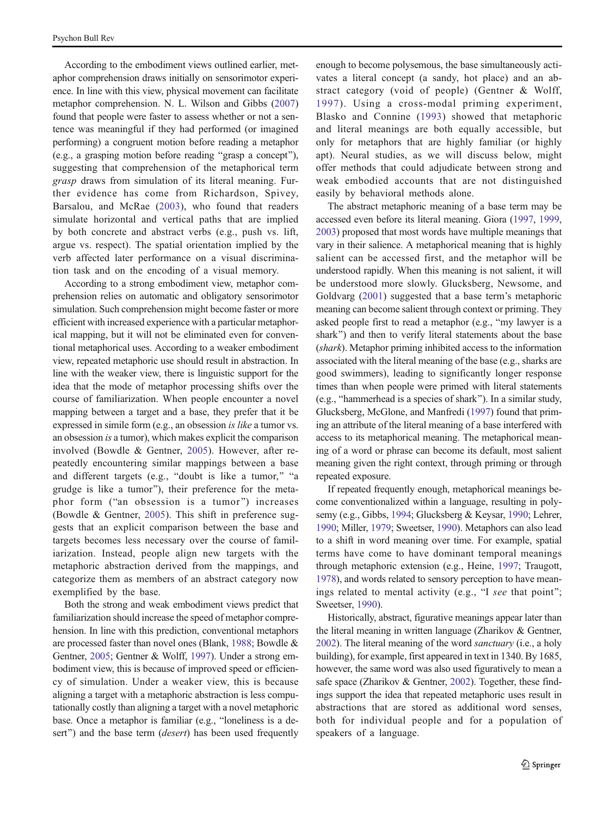According to the embodiment views outlined earlier, metaphor comprehension draws initially on sensorimotor experience. In line with this view, physical movement can facilitate metaphor comprehension. N. L. Wilson and Gibbs ([2007\)](#page-9-0) found that people were faster to assess whether or not a sentence was meaningful if they had performed (or imagined performing) a congruent motion before reading a metaphor  $(e.g., a grasping motion before reading "grasp a concept"),$ suggesting that comprehension of the metaphorical term grasp draws from simulation of its literal meaning. Further evidence has come from Richardson, Spivey, Barsalou, and McRae [\(2003\)](#page-9-0), who found that readers simulate horizontal and vertical paths that are implied by both concrete and abstract verbs (e.g., push vs. lift, argue vs. respect). The spatial orientation implied by the verb affected later performance on a visual discrimination task and on the encoding of a visual memory.

According to a strong embodiment view, metaphor comprehension relies on automatic and obligatory sensorimotor simulation. Such comprehension might become faster or more efficient with increased experience with a particular metaphorical mapping, but it will not be eliminated even for conventional metaphorical uses. According to a weaker embodiment view, repeated metaphoric use should result in abstraction. In line with the weaker view, there is linguistic support for the idea that the mode of metaphor processing shifts over the course of familiarization. When people encounter a novel mapping between a target and a base, they prefer that it be expressed in simile form (e.g., an obsession is like a tumor vs. an obsession is a tumor), which makes explicit the comparison involved (Bowdle & Gentner, [2005\)](#page-7-0). However, after repeatedly encountering similar mappings between a base and different targets (e.g., "doubt is like a tumor," "a grudge is like a tumor"), their preference for the metaphor form ("an obsession is a tumor") increases (Bowdle & Gentner, [2005](#page-7-0)). This shift in preference suggests that an explicit comparison between the base and targets becomes less necessary over the course of familiarization. Instead, people align new targets with the metaphoric abstraction derived from the mappings, and categorize them as members of an abstract category now exemplified by the base.

Both the strong and weak embodiment views predict that familiarization should increase the speed of metaphor comprehension. In line with this prediction, conventional metaphors are processed faster than novel ones (Blank, [1988;](#page-7-0) Bowdle & Gentner, [2005;](#page-7-0) Gentner & Wolff, [1997](#page-7-0)). Under a strong embodiment view, this is because of improved speed or efficiency of simulation. Under a weaker view, this is because aligning a target with a metaphoric abstraction is less computationally costly than aligning a target with a novel metaphoric base. Once a metaphor is familiar (e.g., "loneliness is a desert") and the base term (*desert*) has been used frequently enough to become polysemous, the base simultaneously activates a literal concept (a sandy, hot place) and an abstract category (void of people) (Gentner & Wolff, [1997\)](#page-7-0). Using a cross-modal priming experiment, Blasko and Connine ([1993](#page-7-0)) showed that metaphoric and literal meanings are both equally accessible, but only for metaphors that are highly familiar (or highly apt). Neural studies, as we will discuss below, might offer methods that could adjudicate between strong and weak embodied accounts that are not distinguished easily by behavioral methods alone.

The abstract metaphoric meaning of a base term may be accessed even before its literal meaning. Giora [\(1997,](#page-8-0) [1999,](#page-8-0) [2003\)](#page-8-0) proposed that most words have multiple meanings that vary in their salience. A metaphorical meaning that is highly salient can be accessed first, and the metaphor will be understood rapidly. When this meaning is not salient, it will be understood more slowly. Glucksberg, Newsome, and Goldvarg ([2001](#page-8-0)) suggested that a base term's metaphoric meaning can become salient through context or priming. They asked people first to read a metaphor (e.g., "my lawyer is a shark") and then to verify literal statements about the base (shark). Metaphor priming inhibited access to the information associated with the literal meaning of the base (e.g., sharks are good swimmers), leading to significantly longer response times than when people were primed with literal statements (e.g., Bhammerhead is a species of shark^). In a similar study, Glucksberg, McGlone, and Manfredi [\(1997](#page-8-0)) found that priming an attribute of the literal meaning of a base interfered with access to its metaphorical meaning. The metaphorical meaning of a word or phrase can become its default, most salient meaning given the right context, through priming or through repeated exposure.

If repeated frequently enough, metaphorical meanings become conventionalized within a language, resulting in polysemy (e.g., Gibbs, [1994](#page-8-0); Glucksberg & Keysar, [1990](#page-8-0); Lehrer, [1990;](#page-8-0) Miller, [1979;](#page-8-0) Sweetser, [1990\)](#page-9-0). Metaphors can also lead to a shift in word meaning over time. For example, spatial terms have come to have dominant temporal meanings through metaphoric extension (e.g., Heine, [1997](#page-8-0); Traugott, [1978\)](#page-9-0), and words related to sensory perception to have meanings related to mental activity (e.g., "I see that point"; Sweetser, [1990](#page-9-0)).

Historically, abstract, figurative meanings appear later than the literal meaning in written language (Zharikov & Gentner, [2002\)](#page-9-0). The literal meaning of the word sanctuary (i.e., a holy building), for example, first appeared in text in 1340. By 1685, however, the same word was also used figuratively to mean a safe space (Zharikov & Gentner, [2002\)](#page-9-0). Together, these findings support the idea that repeated metaphoric uses result in abstractions that are stored as additional word senses, both for individual people and for a population of speakers of a language.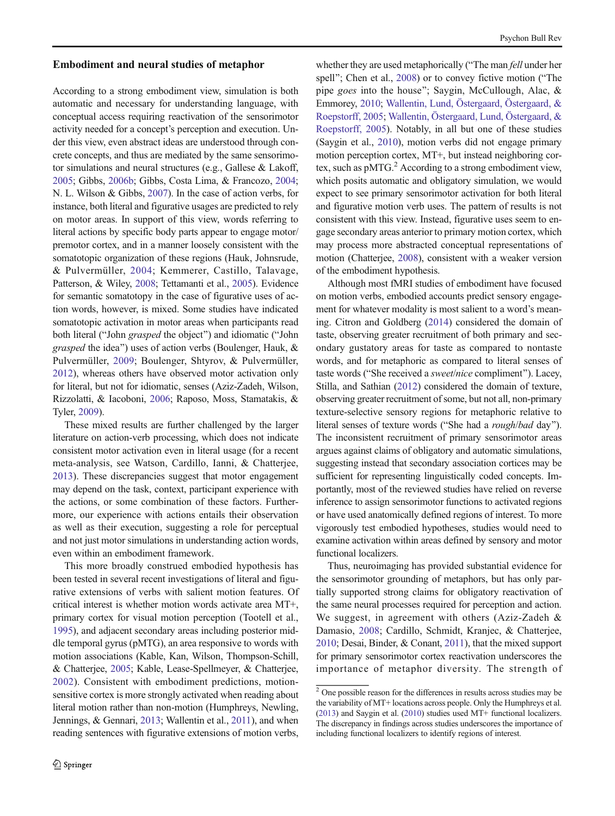#### Embodiment and neural studies of metaphor

According to a strong embodiment view, simulation is both automatic and necessary for understanding language, with conceptual access requiring reactivation of the sensorimotor activity needed for a concept's perception and execution. Under this view, even abstract ideas are understood through concrete concepts, and thus are mediated by the same sensorimotor simulations and neural structures (e.g., Gallese & Lakoff, [2005;](#page-7-0) Gibbs, [2006b](#page-8-0); Gibbs, Costa Lima, & Francozo, [2004](#page-8-0); N. L. Wilson & Gibbs, [2007\)](#page-9-0). In the case of action verbs, for instance, both literal and figurative usages are predicted to rely on motor areas. In support of this view, words referring to literal actions by specific body parts appear to engage motor/ premotor cortex, and in a manner loosely consistent with the somatotopic organization of these regions (Hauk, Johnsrude, & Pulvermüller, [2004;](#page-8-0) Kemmerer, Castillo, Talavage, Patterson, & Wiley, [2008;](#page-8-0) Tettamanti et al., [2005](#page-9-0)). Evidence for semantic somatotopy in the case of figurative uses of action words, however, is mixed. Some studies have indicated somatotopic activation in motor areas when participants read both literal ("John *grasped* the object") and idiomatic ("John grasped the idea^) uses of action verbs (Boulenger, Hauk, & Pulvermüller, [2009](#page-7-0); Boulenger, Shtyrov, & Pulvermüller, [2012\)](#page-7-0), whereas others have observed motor activation only for literal, but not for idiomatic, senses (Aziz-Zadeh, Wilson, Rizzolatti, & Iacoboni, [2006;](#page-7-0) Raposo, Moss, Stamatakis, & Tyler, [2009\)](#page-8-0).

These mixed results are further challenged by the larger literature on action-verb processing, which does not indicate consistent motor activation even in literal usage (for a recent meta-analysis, see Watson, Cardillo, Ianni, & Chatterjee, [2013\)](#page-9-0). These discrepancies suggest that motor engagement may depend on the task, context, participant experience with the actions, or some combination of these factors. Furthermore, our experience with actions entails their observation as well as their execution, suggesting a role for perceptual and not just motor simulations in understanding action words, even within an embodiment framework.

This more broadly construed embodied hypothesis has been tested in several recent investigations of literal and figurative extensions of verbs with salient motion features. Of critical interest is whether motion words activate area MT+, primary cortex for visual motion perception (Tootell et al., [1995\)](#page-9-0), and adjacent secondary areas including posterior middle temporal gyrus (pMTG), an area responsive to words with motion associations (Kable, Kan, Wilson, Thompson-Schill, & Chatterjee, [2005;](#page-8-0) Kable, Lease-Spellmeyer, & Chatterjee, [2002](#page-8-0)). Consistent with embodiment predictions, motionsensitive cortex is more strongly activated when reading about literal motion rather than non-motion (Humphreys, Newling, Jennings, & Gennari, [2013;](#page-8-0) Wallentin et al., [2011](#page-9-0)), and when reading sentences with figurative extensions of motion verbs,

whether they are used metaphorically ("The man *fell* under her spell"; Chen et al., [2008](#page-7-0)) or to convey fictive motion ("The pipe goes into the house"; Saygin, McCullough, Alac, & Emmorey, [2010;](#page-9-0) [Wallentin, Lund, Östergaard, Östergaard, &](#page-9-0) [Roepstorff, 2005](#page-9-0); [Wallentin, Östergaard, Lund, Östergaard, &](#page-9-0) [Roepstorff, 2005](#page-9-0)). Notably, in all but one of these studies (Saygin et al., [2010](#page-9-0)), motion verbs did not engage primary motion perception cortex, MT+, but instead neighboring cortex, such as  $pMTG<sup>2</sup>$ . According to a strong embodiment view, which posits automatic and obligatory simulation, we would expect to see primary sensorimotor activation for both literal and figurative motion verb uses. The pattern of results is not consistent with this view. Instead, figurative uses seem to engage secondary areas anterior to primary motion cortex, which may process more abstracted conceptual representations of motion (Chatterjee, [2008](#page-7-0)), consistent with a weaker version of the embodiment hypothesis.

Although most fMRI studies of embodiment have focused on motion verbs, embodied accounts predict sensory engagement for whatever modality is most salient to a word's meaning. Citron and Goldberg ([2014\)](#page-7-0) considered the domain of taste, observing greater recruitment of both primary and secondary gustatory areas for taste as compared to nontaste words, and for metaphoric as compared to literal senses of taste words ("She received a sweet/nice compliment"). Lacey, Stilla, and Sathian ([2012](#page-8-0)) considered the domain of texture, observing greater recruitment of some, but not all, non-primary texture-selective sensory regions for metaphoric relative to literal senses of texture words ("She had a *rough/bad* day"). The inconsistent recruitment of primary sensorimotor areas argues against claims of obligatory and automatic simulations, suggesting instead that secondary association cortices may be sufficient for representing linguistically coded concepts. Importantly, most of the reviewed studies have relied on reverse inference to assign sensorimotor functions to activated regions or have used anatomically defined regions of interest. To more vigorously test embodied hypotheses, studies would need to examine activation within areas defined by sensory and motor functional localizers.

Thus, neuroimaging has provided substantial evidence for the sensorimotor grounding of metaphors, but has only partially supported strong claims for obligatory reactivation of the same neural processes required for perception and action. We suggest, in agreement with others (Aziz-Zadeh & Damasio, [2008;](#page-7-0) Cardillo, Schmidt, Kranjec, & Chatterjee, [2010;](#page-7-0) Desai, Binder, & Conant, [2011\)](#page-7-0), that the mixed support for primary sensorimotor cortex reactivation underscores the importance of metaphor diversity. The strength of

 $2$  One possible reason for the differences in results across studies may be the variability of MT+ locations across people. Only the Humphreys et al. ([2013](#page-8-0)) and Saygin et al. ([2010](#page-9-0)) studies used MT+ functional localizers. The discrepancy in findings across studies underscores the importance of including functional localizers to identify regions of interest.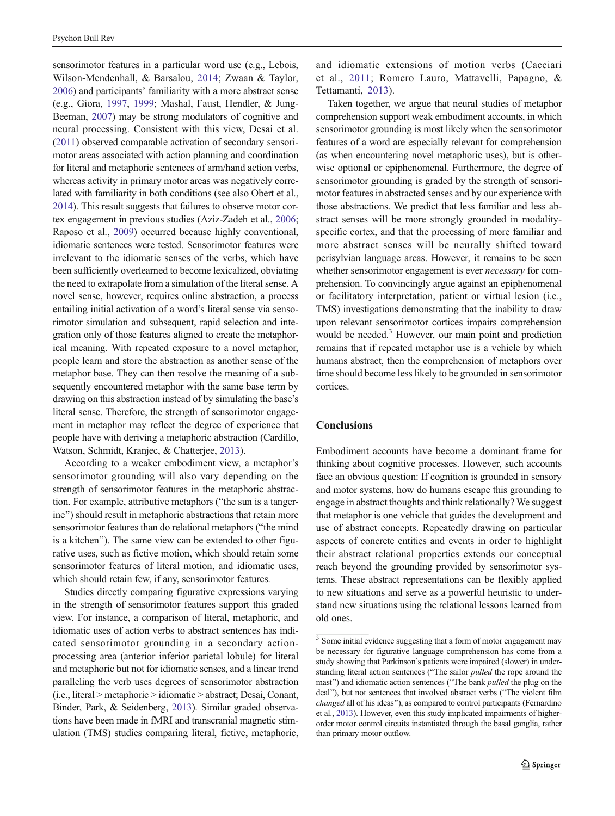sensorimotor features in a particular word use (e.g., Lebois, Wilson-Mendenhall, & Barsalou, [2014](#page-8-0); Zwaan & Taylor, [2006\)](#page-9-0) and participants' familiarity with a more abstract sense (e.g., Giora, [1997](#page-8-0), [1999](#page-8-0); Mashal, Faust, Hendler, & Jung-Beeman, [2007\)](#page-8-0) may be strong modulators of cognitive and neural processing. Consistent with this view, Desai et al. [\(2011](#page-7-0)) observed comparable activation of secondary sensorimotor areas associated with action planning and coordination for literal and metaphoric sentences of arm/hand action verbs, whereas activity in primary motor areas was negatively correlated with familiarity in both conditions (see also Obert et al., [2014\)](#page-8-0). This result suggests that failures to observe motor cortex engagement in previous studies (Aziz-Zadeh et al., [2006](#page-7-0); Raposo et al., [2009\)](#page-8-0) occurred because highly conventional, idiomatic sentences were tested. Sensorimotor features were irrelevant to the idiomatic senses of the verbs, which have been sufficiently overlearned to become lexicalized, obviating the need to extrapolate from a simulation of the literal sense. A novel sense, however, requires online abstraction, a process entailing initial activation of a word's literal sense via sensorimotor simulation and subsequent, rapid selection and integration only of those features aligned to create the metaphorical meaning. With repeated exposure to a novel metaphor, people learn and store the abstraction as another sense of the metaphor base. They can then resolve the meaning of a subsequently encountered metaphor with the same base term by drawing on this abstraction instead of by simulating the base's literal sense. Therefore, the strength of sensorimotor engagement in metaphor may reflect the degree of experience that people have with deriving a metaphoric abstraction (Cardillo, Watson, Schmidt, Kranjec, & Chatterjee, [2013](#page-7-0)).

According to a weaker embodiment view, a metaphor's sensorimotor grounding will also vary depending on the strength of sensorimotor features in the metaphoric abstraction. For example, attributive metaphors ("the sun is a tangerine") should result in metaphoric abstractions that retain more sensorimotor features than do relational metaphors ("the mind is a kitchen"). The same view can be extended to other figurative uses, such as fictive motion, which should retain some sensorimotor features of literal motion, and idiomatic uses, which should retain few, if any, sensorimotor features.

Studies directly comparing figurative expressions varying in the strength of sensorimotor features support this graded view. For instance, a comparison of literal, metaphoric, and idiomatic uses of action verbs to abstract sentences has indicated sensorimotor grounding in a secondary actionprocessing area (anterior inferior parietal lobule) for literal and metaphoric but not for idiomatic senses, and a linear trend paralleling the verb uses degrees of sensorimotor abstraction (i.e., literal > metaphoric > idiomatic > abstract; Desai, Conant, Binder, Park, & Seidenberg, [2013\)](#page-7-0). Similar graded observations have been made in fMRI and transcranial magnetic stimulation (TMS) studies comparing literal, fictive, metaphoric,

and idiomatic extensions of motion verbs (Cacciari et al., [2011](#page-7-0); Romero Lauro, Mattavelli, Papagno, & Tettamanti, [2013\)](#page-9-0).

Taken together, we argue that neural studies of metaphor comprehension support weak embodiment accounts, in which sensorimotor grounding is most likely when the sensorimotor features of a word are especially relevant for comprehension (as when encountering novel metaphoric uses), but is otherwise optional or epiphenomenal. Furthermore, the degree of sensorimotor grounding is graded by the strength of sensorimotor features in abstracted senses and by our experience with those abstractions. We predict that less familiar and less abstract senses will be more strongly grounded in modalityspecific cortex, and that the processing of more familiar and more abstract senses will be neurally shifted toward perisylvian language areas. However, it remains to be seen whether sensorimotor engagement is ever *necessary* for comprehension. To convincingly argue against an epiphenomenal or facilitatory interpretation, patient or virtual lesion (i.e., TMS) investigations demonstrating that the inability to draw upon relevant sensorimotor cortices impairs comprehension would be needed.<sup>3</sup> However, our main point and prediction remains that if repeated metaphor use is a vehicle by which humans abstract, then the comprehension of metaphors over time should become less likely to be grounded in sensorimotor cortices.

#### Conclusions

Embodiment accounts have become a dominant frame for thinking about cognitive processes. However, such accounts face an obvious question: If cognition is grounded in sensory and motor systems, how do humans escape this grounding to engage in abstract thoughts and think relationally? We suggest that metaphor is one vehicle that guides the development and use of abstract concepts. Repeatedly drawing on particular aspects of concrete entities and events in order to highlight their abstract relational properties extends our conceptual reach beyond the grounding provided by sensorimotor systems. These abstract representations can be flexibly applied to new situations and serve as a powerful heuristic to understand new situations using the relational lessons learned from old ones.

 $\frac{3}{3}$  Some initial evidence suggesting that a form of motor engagement may be necessary for figurative language comprehension has come from a study showing that Parkinson's patients were impaired (slower) in understanding literal action sentences ("The sailor *pulled* the rope around the mast") and idiomatic action sentences ("The bank *pulled* the plug on the deal"), but not sentences that involved abstract verbs ("The violent film changed all of his ideas"), as compared to control participants (Fernardino et al., [2013](#page-7-0)). However, even this study implicated impairments of higherorder motor control circuits instantiated through the basal ganglia, rather than primary motor outflow.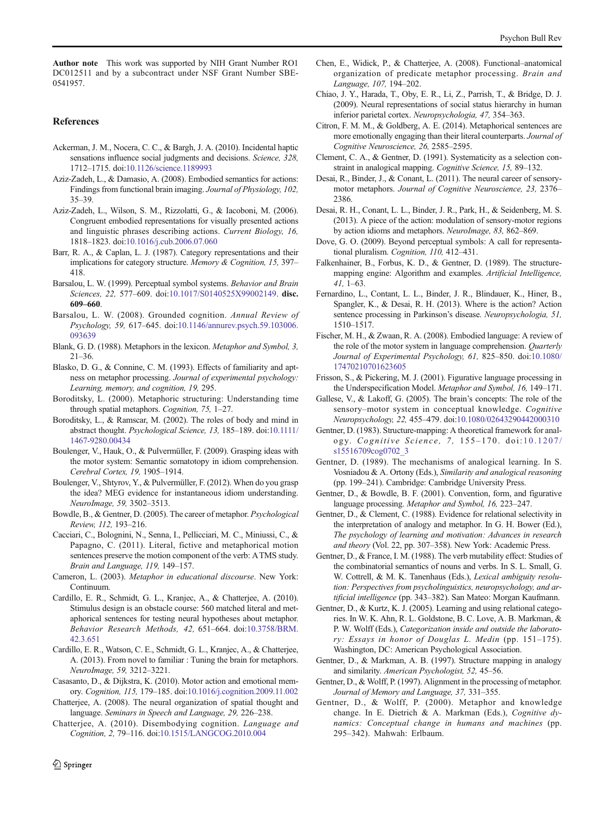## <span id="page-7-0"></span>References

- Ackerman, J. M., Nocera, C. C., & Bargh, J. A. (2010). Incidental haptic sensations influence social judgments and decisions. Science, 328, 1712–1715. doi[:10.1126/science.1189993](http://dx.doi.org/10.1126/science.1189993)
- Aziz-Zadeh, L., & Damasio, A. (2008). Embodied semantics for actions: Findings from functional brain imaging. Journal of Physiology, 102, 35–39.
- Aziz-Zadeh, L., Wilson, S. M., Rizzolatti, G., & Iacoboni, M. (2006). Congruent embodied representations for visually presented actions and linguistic phrases describing actions. Current Biology, 16, 1818–1823. doi[:10.1016/j.cub.2006.07.060](http://dx.doi.org/10.1016/j.cub.2006.07.060)
- Barr, R. A., & Caplan, L. J. (1987). Category representations and their implications for category structure. Memory & Cognition, 15, 397– 418.
- Barsalou, L. W. (1999). Perceptual symbol systems. Behavior and Brain Sciences, 22, 577-609. doi:[10.1017/S0140525X99002149.](http://dx.doi.org/10.1017/S0140525X99002149) disc. 609–660.
- Barsalou, L. W. (2008). Grounded cognition. Annual Review of Psychology, 59, 617–645. doi[:10.1146/annurev.psych.59.103006.](http://dx.doi.org/10.1146/annurev.psych.59.103006.093639) [093639](http://dx.doi.org/10.1146/annurev.psych.59.103006.093639)
- Blank, G. D. (1988). Metaphors in the lexicon. Metaphor and Symbol, 3, 21–36.
- Blasko, D. G., & Connine, C. M. (1993). Effects of familiarity and aptness on metaphor processing. Journal of experimental psychology: Learning, memory, and cognition, 19, 295.
- Boroditsky, L. (2000). Metaphoric structuring: Understanding time through spatial metaphors. Cognition, 75, 1–27.
- Boroditsky, L., & Ramscar, M. (2002). The roles of body and mind in abstract thought. Psychological Science, 13, 185–189. doi:[10.1111/](http://dx.doi.org/10.1111/1467-9280.00434) [1467-9280.00434](http://dx.doi.org/10.1111/1467-9280.00434)
- Boulenger, V., Hauk, O., & Pulvermüller, F. (2009). Grasping ideas with the motor system: Semantic somatotopy in idiom comprehension. Cerebral Cortex, 19, 1905–1914.
- Boulenger, V., Shtyrov, Y., & Pulvermüller, F. (2012). When do you grasp the idea? MEG evidence for instantaneous idiom understanding. NeuroImage, 59, 3502–3513.
- Bowdle, B., & Gentner, D. (2005). The career of metaphor. Psychological Review, 112, 193–216.
- Cacciari, C., Bolognini, N., Senna, I., Pellicciari, M. C., Miniussi, C., & Papagno, C. (2011). Literal, fictive and metaphorical motion sentences preserve the motion component of the verb: ATMS study. Brain and Language, 119, 149–157.
- Cameron, L. (2003). Metaphor in educational discourse. New York: Continuum.
- Cardillo, E. R., Schmidt, G. L., Kranjec, A., & Chatterjee, A. (2010). Stimulus design is an obstacle course: 560 matched literal and metaphorical sentences for testing neural hypotheses about metaphor. Behavior Research Methods, 42, 651–664. doi[:10.3758/BRM.](http://dx.doi.org/10.3758/BRM.42.3.651) [42.3.651](http://dx.doi.org/10.3758/BRM.42.3.651)
- Cardillo, E. R., Watson, C. E., Schmidt, G. L., Kranjec, A., & Chatterjee, A. (2013). From novel to familiar : Tuning the brain for metaphors. NeuroImage, 59, 3212–3221.
- Casasanto, D., & Dijkstra, K. (2010). Motor action and emotional memory. Cognition, 115, 179–185. doi:[10.1016/j.cognition.2009.11.002](http://dx.doi.org/10.1016/j.cognition.2009.11.002)
- Chatterjee, A. (2008). The neural organization of spatial thought and language. Seminars in Speech and Language, 29, 226–238.
- Chatterjee, A. (2010). Disembodying cognition. Language and Cognition, 2, 79–116. doi[:10.1515/LANGCOG.2010.004](http://dx.doi.org/10.1515/LANGCOG.2010.004)
- Chen, E., Widick, P., & Chatterjee, A. (2008). Functional–anatomical organization of predicate metaphor processing. Brain and Language, 107, 194–202.
- Chiao, J. Y., Harada, T., Oby, E. R., Li, Z., Parrish, T., & Bridge, D. J. (2009). Neural representations of social status hierarchy in human inferior parietal cortex. Neuropsychologia, 47, 354–363.
- Citron, F. M. M., & Goldberg, A. E. (2014). Metaphorical sentences are more emotionally engaging than their literal counterparts. Journal of Cognitive Neuroscience, 26, 2585–2595.
- Clement, C. A., & Gentner, D. (1991). Systematicity as a selection constraint in analogical mapping. Cognitive Science, 15, 89–132.
- Desai, R., Binder, J., & Conant, L. (2011). The neural career of sensorymotor metaphors. Journal of Cognitive Neuroscience, 23, 2376– 2386.
- Desai, R. H., Conant, L. L., Binder, J. R., Park, H., & Seidenberg, M. S. (2013). A piece of the action: modulation of sensory-motor regions by action idioms and metaphors. NeuroImage, 83, 862–869.
- Dove, G. O. (2009). Beyond perceptual symbols: A call for representational pluralism. Cognition, 110, 412-431.
- Falkenhainer, B., Forbus, K. D., & Gentner, D. (1989). The structuremapping engine: Algorithm and examples. Artificial Intelligence, 41, 1–63.
- Fernardino, L., Contant, L. L., Binder, J. R., Blindauer, K., Hiner, B., Spangler, K., & Desai, R. H. (2013). Where is the action? Action sentence processing in Parkinson's disease. Neuropsychologia, 51, 1510–1517.
- Fischer, M. H., & Zwaan, R. A. (2008). Embodied language: A review of the role of the motor system in language comprehension. Quarterly Journal of Experimental Psychology, 61, 825–850. doi:[10.1080/](http://dx.doi.org/10.1080/17470210701623605) [17470210701623605](http://dx.doi.org/10.1080/17470210701623605)
- Frisson, S., & Pickering, M. J. (2001). Figurative language processing in the Underspecification Model. Metaphor and Symbol, 16, 149–171.
- Gallese, V., & Lakoff, G. (2005). The brain's concepts: The role of the sensory–motor system in conceptual knowledge. Cognitive Neuropsychology, 22, 455–479. doi:[10.1080/02643290442000310](http://dx.doi.org/10.1080/02643290442000310)
- Gentner, D. (1983). Structure-mapping: A theoretical framework for analogy. Cognitive Science, 7, 155– 170. doi: [10.1207/](http://dx.doi.org/10.1207/s15516709cog0702_3) [s15516709cog0702\\_3](http://dx.doi.org/10.1207/s15516709cog0702_3)
- Gentner, D. (1989). The mechanisms of analogical learning. In S. Vosniadou & A. Ortony (Eds.), Similarity and analogical reasoning (pp. 199–241). Cambridge: Cambridge University Press.
- Gentner, D., & Bowdle, B. F. (2001). Convention, form, and figurative language processing. Metaphor and Symbol, 16, 223–247.
- Gentner, D., & Clement, C. (1988). Evidence for relational selectivity in the interpretation of analogy and metaphor. In G. H. Bower (Ed.), The psychology of learning and motivation: Advances in research and theory (Vol. 22, pp. 307–358). New York: Academic Press.
- Gentner, D., & France, I. M. (1988). The verb mutability effect: Studies of the combinatorial semantics of nouns and verbs. In S. L. Small, G. W. Cottrell, & M. K. Tanenhaus (Eds.), Lexical ambiguity resolution: Perspectives from psycholinguistics, neuropsychology, and artificial intelligence (pp. 343–382). San Mateo: Morgan Kaufmann.
- Gentner, D., & Kurtz, K. J. (2005). Learning and using relational categories. In W. K. Ahn, R. L. Goldstone, B. C. Love, A. B. Markman, & P. W. Wolff (Eds.), Categorization inside and outside the laboratory: Essays in honor of Douglas L. Medin (pp. 151–175). Washington, DC: American Psychological Association.
- Gentner, D., & Markman, A. B. (1997). Structure mapping in analogy and similarity. American Psychologist, 52, 45–56.
- Gentner, D., & Wolff, P. (1997). Alignment in the processing of metaphor. Journal of Memory and Language, 37, 331–355.
- Gentner, D., & Wolff, P. (2000). Metaphor and knowledge change. In E. Dietrich & A. Markman (Eds.), Cognitive dynamics: Conceptual change in humans and machines (pp. 295–342). Mahwah: Erlbaum.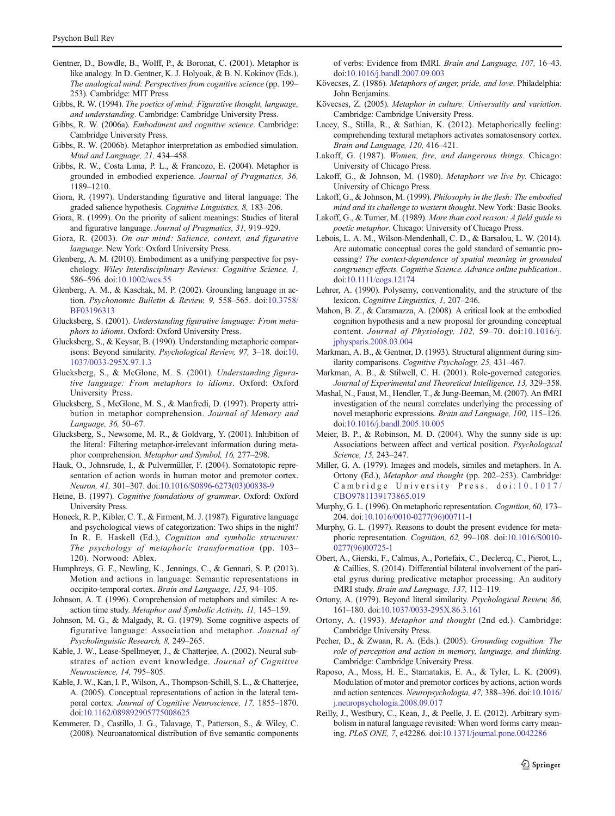- <span id="page-8-0"></span>Gentner, D., Bowdle, B., Wolff, P., & Boronat, C. (2001). Metaphor is like analogy. In D. Gentner, K. J. Holyoak, & B. N. Kokinov (Eds.), The analogical mind: Perspectives from cognitive science (pp. 199– 253). Cambridge: MIT Press.
- Gibbs, R. W. (1994). The poetics of mind: Figurative thought, language, and understanding. Cambridge: Cambridge University Press.
- Gibbs, R. W. (2006a). Embodiment and cognitive science. Cambridge: Cambridge University Press.
- Gibbs, R. W. (2006b). Metaphor interpretation as embodied simulation. Mind and Language, 21, 434–458.
- Gibbs, R. W., Costa Lima, P. L., & Francozo, E. (2004). Metaphor is grounded in embodied experience. Journal of Pragmatics, 36, 1189–1210.
- Giora, R. (1997). Understanding figurative and literal language: The graded salience hypothesis. Cognitive Linguistics, 8, 183–206.
- Giora, R. (1999). On the priority of salient meanings: Studies of literal and figurative language. Journal of Pragmatics, 31, 919–929.
- Giora, R. (2003). On our mind: Salience, context, and figurative language. New York: Oxford University Press.
- Glenberg, A. M. (2010). Embodiment as a unifying perspective for psychology. Wiley Interdisciplinary Reviews: Cognitive Science, 1, 586–596. doi[:10.1002/wcs.55](http://dx.doi.org/10.1002/wcs.55)
- Glenberg, A. M., & Kaschak, M. P. (2002). Grounding language in action. Psychonomic Bulletin & Review, 9, 558–565. doi[:10.3758/](http://dx.doi.org/10.3758/BF03196313) [BF03196313](http://dx.doi.org/10.3758/BF03196313)
- Glucksberg, S. (2001). Understanding figurative language: From metaphors to idioms. Oxford: Oxford University Press.
- Glucksberg, S., & Keysar, B. (1990). Understanding metaphoric comparisons: Beyond similarity. Psychological Review, 97, 3–18. doi:[10.](http://dx.doi.org/10.1037/0033-295X.97.1.3) [1037/0033-295X.97.1.3](http://dx.doi.org/10.1037/0033-295X.97.1.3)
- Glucksberg, S., & McGlone, M. S. (2001). Understanding figurative language: From metaphors to idioms. Oxford: Oxford University Press.
- Glucksberg, S., McGlone, M. S., & Manfredi, D. (1997). Property attribution in metaphor comprehension. Journal of Memory and Language, 36, 50–67.
- Glucksberg, S., Newsome, M. R., & Goldvarg, Y. (2001). Inhibition of the literal: Filtering metaphor-irrelevant information during metaphor comprehension. Metaphor and Symbol, 16, 277–298.
- Hauk, O., Johnsrude, I., & Pulvermüller, F. (2004). Somatotopic representation of action words in human motor and premotor cortex. Neuron, 41, 301–307. doi[:10.1016/S0896-6273\(03\)00838-9](http://dx.doi.org/10.1016/S0896-6273(03)00838-9)
- Heine, B. (1997). Cognitive foundations of grammar. Oxford: Oxford University Press.
- Honeck, R. P., Kibler, C. T., & Firment, M. J. (1987). Figurative language and psychological views of categorization: Two ships in the night? In R. E. Haskell (Ed.), Cognition and symbolic structures: The psychology of metaphoric transformation (pp. 103– 120). Norwood: Ablex.
- Humphreys, G. F., Newling, K., Jennings, C., & Gennari, S. P. (2013). Motion and actions in language: Semantic representations in occipito-temporal cortex. Brain and Language, 125, 94–105.
- Johnson, A. T. (1996). Comprehension of metaphors and similes: A reaction time study. Metaphor and Symbolic Activity, 11, 145–159.
- Johnson, M. G., & Malgady, R. G. (1979). Some cognitive aspects of figurative language: Association and metaphor. Journal of Psycholinguistic Research, 8, 249–265.
- Kable, J. W., Lease-Spellmeyer, J., & Chatterjee, A. (2002). Neural substrates of action event knowledge. Journal of Cognitive Neuroscience, 14, 795–805.
- Kable, J. W., Kan, I. P., Wilson, A., Thompson-Schill, S. L., & Chatterjee, A. (2005). Conceptual representations of action in the lateral temporal cortex. Journal of Cognitive Neuroscience, 17, 1855–1870. doi:[10.1162/089892905775008625](http://dx.doi.org/10.1162/089892905775008625)
- Kemmerer, D., Castillo, J. G., Talavage, T., Patterson, S., & Wiley, C. (2008). Neuroanatomical distribution of five semantic components

of verbs: Evidence from fMRI. Brain and Language, 107, 16–43. doi:[10.1016/j.bandl.2007.09.003](http://dx.doi.org/10.1016/j.bandl.2007.09.003)

- Kövecses, Z. (1986). Metaphors of anger, pride, and love. Philadelphia: John Benjamins.
- Kövecses, Z. (2005). Metaphor in culture: Universality and variation. Cambridge: Cambridge University Press.
- Lacey, S., Stilla, R., & Sathian, K. (2012). Metaphorically feeling: comprehending textural metaphors activates somatosensory cortex. Brain and Language, 120, 416–421.
- Lakoff, G. (1987). Women, fire, and dangerous things. Chicago: University of Chicago Press.
- Lakoff, G., & Johnson, M. (1980). Metaphors we live by. Chicago: University of Chicago Press.
- Lakoff, G., & Johnson, M. (1999). Philosophy in the flesh: The embodied mind and its challenge to western thought. New York: Basic Books.
- Lakoff, G., & Turner, M. (1989). More than cool reason: A field guide to poetic metaphor. Chicago: University of Chicago Press.
- Lebois, L. A. M., Wilson-Mendenhall, C. D., & Barsalou, L. W. (2014). Are automatic conceptual cores the gold standard of semantic processing? The context-dependence of spatial meaning in grounded congruency effects. Cognitive Science. Advance online publication.. doi:[10.1111/cogs.12174](http://dx.doi.org/10.1111/cogs.12174)
- Lehrer, A. (1990). Polysemy, conventionality, and the structure of the lexicon. Cognitive Linguistics, 1, 207–246.
- Mahon, B. Z., & Caramazza, A. (2008). A critical look at the embodied cognition hypothesis and a new proposal for grounding conceptual content. Journal of Physiology, 102, 59–70. doi:[10.1016/j.](http://dx.doi.org/10.1016/j.jphysparis.2008.03.004) [jphysparis.2008.03.004](http://dx.doi.org/10.1016/j.jphysparis.2008.03.004)
- Markman, A. B., & Gentner, D. (1993). Structural alignment during similarity comparisons. Cognitive Psychology, 25, 431–467.
- Markman, A. B., & Stilwell, C. H. (2001). Role-governed categories. Journal of Experimental and Theoretical Intelligence, 13, 329–358.
- Mashal, N., Faust, M., Hendler, T., & Jung-Beeman, M. (2007). An fMRI investigation of the neural correlates underlying the processing of novel metaphoric expressions. Brain and Language, 100, 115–126. doi:[10.1016/j.bandl.2005.10.005](http://dx.doi.org/10.1016/j.bandl.2005.10.005)
- Meier, B. P., & Robinson, M. D. (2004). Why the sunny side is up: Associations between affect and vertical position. Psychological Science, 15, 243–247.
- Miller, G. A. (1979). Images and models, similes and metaphors. In A. Ortony (Ed.), Metaphor and thought (pp. 202–253). Cambridge: Cambridge University Press. doi: [10.1017/](http://dx.doi.org/10.1017/CBO9781139173865.019) [CBO9781139173865.019](http://dx.doi.org/10.1017/CBO9781139173865.019)
- Murphy, G. L. (1996). On metaphoric representation. Cognition, 60, 173– 204. doi[:10.1016/0010-0277\(96\)00711-1](http://dx.doi.org/10.1016/0010-0277(96)00711-1)
- Murphy, G. L. (1997). Reasons to doubt the present evidence for metaphoric representation. Cognition, 62, 99–108. doi[:10.1016/S0010-](http://dx.doi.org/10.1016/S0010-0277(96)00725-1) [0277\(96\)00725-1](http://dx.doi.org/10.1016/S0010-0277(96)00725-1)
- Obert, A., Gierski, F., Calmus, A., Portefaix, C., Declercq, C., Pierot, L., & Caillies, S. (2014). Differential bilateral involvement of the parietal gyrus during predicative metaphor processing: An auditory fMRI study. Brain and Language, 137, 112–119.
- Ortony, A. (1979). Beyond literal similarity. Psychological Review, 86, 161–180. doi[:10.1037/0033-295X.86.3.161](http://dx.doi.org/10.1037/0033-295X.86.3.161)
- Ortony, A. (1993). Metaphor and thought (2nd ed.). Cambridge: Cambridge University Press.
- Pecher, D., & Zwaan, R. A. (Eds.). (2005). Grounding cognition: The role of perception and action in memory, language, and thinking. Cambridge: Cambridge University Press.
- Raposo, A., Moss, H. E., Stamatakis, E. A., & Tyler, L. K. (2009). Modulation of motor and premotor cortices by actions, action words and action sentences. Neuropsychologia, 47, 388–396. doi[:10.1016/](http://dx.doi.org/10.1016/j.neuropsychologia.2008.09.017) [j.neuropsychologia.2008.09.017](http://dx.doi.org/10.1016/j.neuropsychologia.2008.09.017)
- Reilly, J., Westbury, C., Kean, J., & Peelle, J. E. (2012). Arbitrary symbolism in natural language revisited: When word forms carry meaning. PLoS ONE, 7, e42286. doi:[10.1371/journal.pone.0042286](http://dx.doi.org/10.1371/journal.pone.0042286)